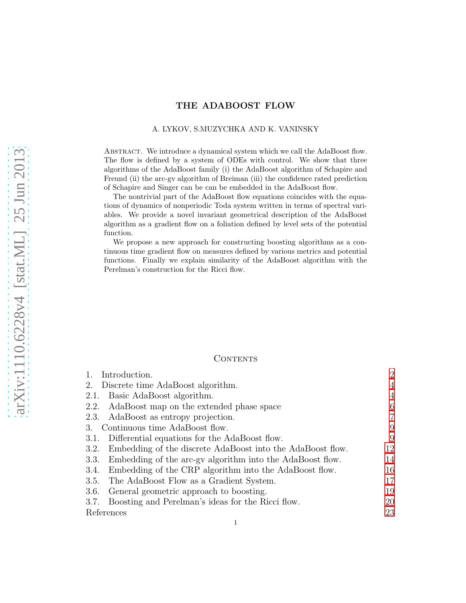# THE ADABOOST FLOW

#### A. LYKOV, S.MUZYCHKA AND K. VANINSKY

ABSTRACT. We introduce a dynamical system which we call the AdaBoost flow. The flow is defined by a system of ODEs with control. We show that three algorithms of the AdaBoost family (i) the AdaBoost algorithm of Schapire and Freund (ii) the arc-gv algorithm of Breiman (iii) the confidence rated prediction of Schapire and Singer can be can be embedded in the AdaBoost flow.

The nontrivial part of the AdaBoost flow equations coincides with the equations of dynamics of nonperiodic Toda system written in terms of spectral variables. We provide a novel invariant geometrical description of the AdaBoost algorithm as a gradient flow on a foliation defined by level sets of the potential function.

We propose a new approach for constructing boosting algorithms as a continuous time gradient flow on measures defined by various metrics and potential functions. Finally we explain similarity of the AdaBoost algorithm with the Perelman's construction for the Ricci flow.

## **CONTENTS**

| Introduction.                                                      | $\overline{2}$ |
|--------------------------------------------------------------------|----------------|
| 2.<br>Discrete time AdaBoost algorithm.                            | 4              |
| 2.1. Basic AdaBoost algorithm.                                     | $\overline{4}$ |
| 2.2. AdaBoost map on the extended phase space                      | 6              |
| 2.3. AdaBoost as entropy projection.                               | 7              |
| 3. Continuous time AdaBoost flow.                                  | 9              |
| 3.1. Differential equations for the AdaBoost flow.                 | 9              |
| Embedding of the discrete AdaBoost into the AdaBoost flow.<br>3.2. | 12             |
| 3.3. Embedding of the arc-gv algorithm into the AdaBoost flow.     | 14             |
| 3.4. Embedding of the CRP algorithm into the AdaBoost flow.        | 16             |
| The AdaBoost Flow as a Gradient System.<br>3.5.                    | 17             |
| General geometric approach to boosting.<br>3.6.                    | 19             |
| 3.7. Boosting and Perelman's ideas for the Ricci flow.             | 20             |
| References                                                         | 23             |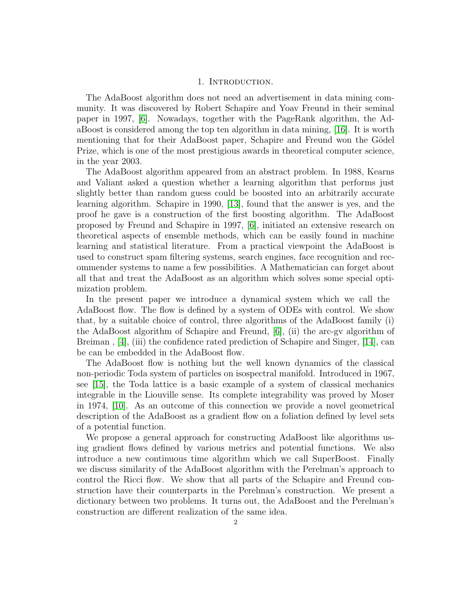## 1. Introduction.

<span id="page-1-0"></span>The AdaBoost algorithm does not need an advertisement in data mining community. It was discovered by Robert Schapire and Yoav Freund in their seminal paper in 1997, [\[6\]](#page-22-1). Nowadays, together with the PageRank algorithm, the AdaBoost is considered among the top ten algorithm in data mining, [\[16\]](#page-22-2). It is worth mentioning that for their AdaBoost paper, Schapire and Freund won the Gödel Prize, which is one of the most prestigious awards in theoretical computer science, in the year 2003.

The AdaBoost algorithm appeared from an abstract problem. In 1988, Kearns and Valiant asked a question whether a learning algorithm that performs just slightly better than random guess could be boosted into an arbitrarily accurate learning algorithm. Schapire in 1990, [\[13\]](#page-22-3), found that the answer is yes, and the proof he gave is a construction of the first boosting algorithm. The AdaBoost proposed by Freund and Schapire in 1997, [\[6\]](#page-22-1), initiated an extensive research on theoretical aspects of ensemble methods, which can be easily found in machine learning and statistical literature. From a practical viewpoint the AdaBoost is used to construct spam filtering systems, search engines, face recognition and recommender systems to name a few possibilities. A Mathematician can forget about all that and treat the AdaBoost as an algorithm which solves some special optimization problem.

In the present paper we introduce a dynamical system which we call the AdaBoost flow. The flow is defined by a system of ODEs with control. We show that, by a suitable choice of control, three algorithms of the AdaBoost family (i) the AdaBoost algorithm of Schapire and Freund, [\[6\]](#page-22-1), (ii) the arc-gv algorithm of Breiman , [\[4\]](#page-22-4), (iii) the confidence rated prediction of Schapire and Singer, [\[14\]](#page-22-5), can be can be embedded in the AdaBoost flow.

The AdaBoost flow is nothing but the well known dynamics of the classical non-periodic Toda system of particles on isospectral manifold. Introduced in 1967, see [\[15\]](#page-22-6), the Toda lattice is a basic example of a system of classical mechanics integrable in the Liouville sense. Its complete integrability was proved by Moser in 1974, [\[10\]](#page-22-7). As an outcome of this connection we provide a novel geometrical description of the AdaBoost as a gradient flow on a foliation defined by level sets of a potential function.

We propose a general approach for constructing AdaBoost like algorithms using gradient flows defined by various metrics and potential functions. We also introduce a new continuous time algorithm which we call SuperBoost. Finally we discuss similarity of the AdaBoost algorithm with the Perelman's approach to control the Ricci flow. We show that all parts of the Schapire and Freund construction have their counterparts in the Perelman's construction. We present a dictionary between two problems. It turns out, the AdaBoost and the Perelman's construction are different realization of the same idea.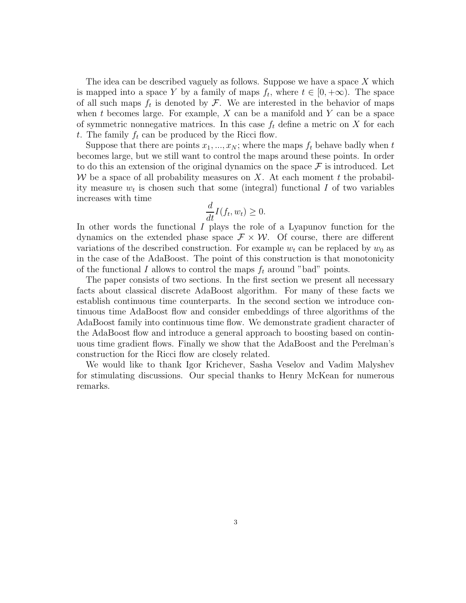The idea can be described vaguely as follows. Suppose we have a space X which is mapped into a space Y by a family of maps  $f_t$ , where  $t \in [0, +\infty)$ . The space of all such maps  $f_t$  is denoted by  $\mathcal{F}$ . We are interested in the behavior of maps when t becomes large. For example,  $X$  can be a manifold and  $Y$  can be a space of symmetric nonnegative matrices. In this case  $f_t$  define a metric on X for each t. The family  $f_t$  can be produced by the Ricci flow.

Suppose that there are points  $x_1, ..., x_N$ ; where the maps  $f_t$  behave badly when t becomes large, but we still want to control the maps around these points. In order to do this an extension of the original dynamics on the space  $\mathcal F$  is introduced. Let W be a space of all probability measures on X. At each moment t the probability measure  $w_t$  is chosen such that some (integral) functional I of two variables increases with time

$$
\frac{d}{dt}I(f_t, w_t) \ge 0.
$$

In other words the functional I plays the role of a Lyapunov function for the dynamics on the extended phase space  $\mathcal{F} \times \mathcal{W}$ . Of course, there are different variations of the described construction. For example  $w_t$  can be replaced by  $w_0$  as in the case of the AdaBoost. The point of this construction is that monotonicity of the functional I allows to control the maps  $f_t$  around "bad" points.

The paper consists of two sections. In the first section we present all necessary facts about classical discrete AdaBoost algorithm. For many of these facts we establish continuous time counterparts. In the second section we introduce continuous time AdaBoost flow and consider embeddings of three algorithms of the AdaBoost family into continuous time flow. We demonstrate gradient character of the AdaBoost flow and introduce a general approach to boosting based on continuous time gradient flows. Finally we show that the AdaBoost and the Perelman's construction for the Ricci flow are closely related.

We would like to thank Igor Krichever, Sasha Veselov and Vadim Malyshev for stimulating discussions. Our special thanks to Henry McKean for numerous remarks.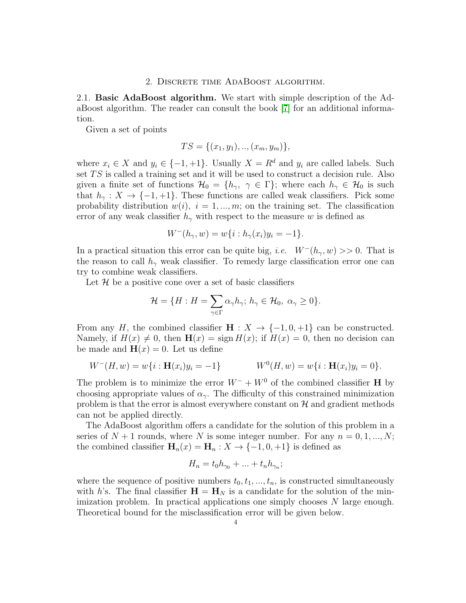## 2. Discrete time AdaBoost algorithm.

<span id="page-3-1"></span><span id="page-3-0"></span>2.1. Basic AdaBoost algorithm. We start with simple description of the AdaBoost algorithm. The reader can consult the book [\[7\]](#page-22-8) for an additional information.

Given a set of points

$$
TS = \{(x_1, y_1), \ldots, (x_m, y_m)\},\
$$

where  $x_i \in X$  and  $y_i \in \{-1, +1\}$ . Usually  $X = R^d$  and  $y_i$  are called labels. Such set  $TS$  is called a training set and it will be used to construct a decision rule. Also given a finite set of functions  $\mathcal{H}_0 = \{h_\gamma, \gamma \in \Gamma\}$ ; where each  $h_\gamma \in \mathcal{H}_0$  is such that  $h_{\gamma}: X \to \{-1, +1\}$ . These functions are called weak classifiers. Pick some probability distribution  $w(i)$ ,  $i = 1, ..., m$ ; on the training set. The classification error of any weak classifier  $h_{\gamma}$  with respect to the measure w is defined as

$$
W^-(h_{\gamma}, w) = w\{i : h_{\gamma}(x_i)y_i = -1\}.
$$

In a practical situation this error can be quite big, *i.e.*  $W^-(h_\gamma, w) >> 0$ . That is the reason to call  $h_{\gamma}$  weak classifier. To remedy large classification error one can try to combine weak classifiers.

Let  $\mathcal H$  be a positive cone over a set of basic classifiers

$$
\mathcal{H} = \{H : H = \sum_{\gamma \in \Gamma} \alpha_{\gamma} h_{\gamma}; h_{\gamma} \in \mathcal{H}_0, \ \alpha_{\gamma} \ge 0\}.
$$

From any H, the combined classifier  $\mathbf{H}: X \to \{-1,0,+1\}$  can be constructed. Namely, if  $H(x) \neq 0$ , then  $H(x) = \text{sign } H(x)$ ; if  $H(x) = 0$ , then no decision can be made and  $\mathbf{H}(x) = 0$ . Let us define

$$
W^-(H, w) = w\{i : \mathbf{H}(x_i)y_i = -1\}
$$
  
 
$$
W^0(H, w) = w\{i : \mathbf{H}(x_i)y_i = 0\}.
$$

The problem is to minimize the error  $W^- + W^0$  of the combined classifier H by choosing appropriate values of  $\alpha_{\gamma}$ . The difficulty of this constrained minimization problem is that the error is almost everywhere constant on  $\mathcal{H}$  and gradient methods can not be applied directly.

The AdaBoost algorithm offers a candidate for the solution of this problem in a series of  $N+1$  rounds, where N is some integer number. For any  $n = 0, 1, ..., N$ ; the combined classifier  $\mathbf{H}_n(x) = \mathbf{H}_n : X \to \{-1, 0, +1\}$  is defined as

$$
H_n = t_0 h_{\gamma_0} + \ldots + t_n h_{\gamma_n};
$$

where the sequence of positive numbers  $t_0, t_1, ..., t_n$ , is constructed simultaneously with h's. The final classifier  $\mathbf{H} = \mathbf{H}_N$  is a candidate for the solution of the minimization problem. In practical applications one simply chooses N large enough. Theoretical bound for the misclassification error will be given below.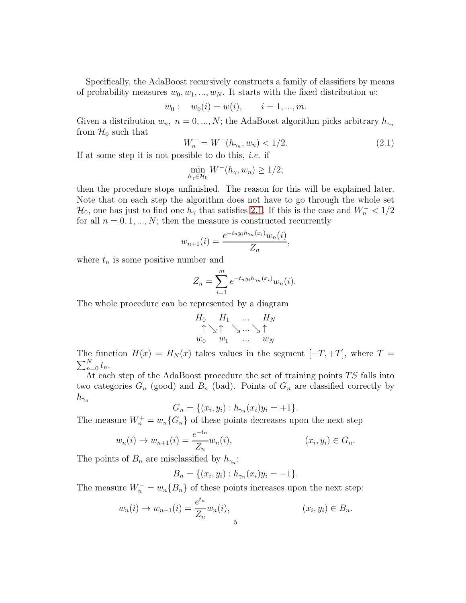Specifically, the AdaBoost recursively constructs a family of classifiers by means of probability measures  $w_0, w_1, ..., w_N$ . It starts with the fixed distribution w:

$$
w_0: w_0(i) = w(i), \t i = 1, ..., m.
$$

Given a distribution  $w_n$ ,  $n = 0, ..., N$ ; the AdaBoost algorithm picks arbitrary  $h_{\gamma_n}$ from  $\mathcal{H}_0$  such that

<span id="page-4-0"></span>
$$
W_n^- = W^-(h_{\gamma_n}, w_n) < 1/2. \tag{2.1}
$$

If at some step it is not possible to do this, *i.e.* if

$$
\min_{h_{\gamma} \in \mathcal{H}_0} W^-(h_{\gamma}, w_n) \ge 1/2;
$$

then the procedure stops unfinished. The reason for this will be explained later. Note that on each step the algorithm does not have to go through the whole set  $\mathcal{H}_0$ , one has just to find one  $h_\gamma$  that satisfies [2.1.](#page-4-0) If this is the case and  $W_n^ < 1/2$ for all  $n = 0, 1, ..., N$ ; then the measure is constructed recurrently

$$
w_{n+1}(i) = \frac{e^{-t_n y_i h_{\gamma_n}(x_i)} w_n(i)}{Z_n},
$$

where  $t_n$  is some positive number and

$$
Z_n = \sum_{i=1}^m e^{-t_n y_i h_{\gamma_n}(x_i)} w_n(i).
$$

The whole procedure can be represented by a diagram

$$
H_0 \uparrow \searrow \uparrow \searrow \dots \searrow \uparrow
$$
  
\n $w_0$   $w_1$   $\dots \searrow \uparrow$   
\n $w_N$ 

The function  $H(x) = H_N(x)$  takes values in the segment  $[-T, +T]$ , where  $T =$  $\sum_{n=0}^{N} t_n$ .

At each step of the AdaBoost procedure the set of training points  $TS$  falls into two categories  $G_n$  (good) and  $B_n$  (bad). Points of  $G_n$  are classified correctly by  $h_{\gamma_n}$ 

$$
G_n = \{(x_i, y_i) : h_{\gamma_n}(x_i)y_i = +1\}.
$$

The measure  $W_n^+ = w_n \{G_n\}$  of these points decreases upon the next step

$$
w_n(i) \to w_{n+1}(i) = \frac{e^{-t_n}}{Z_n} w_n(i), \qquad (x_i, y_i) \in G_n.
$$

The points of  $B_n$  are misclassified by  $h_{\gamma_n}$ :

$$
B_n = \{(x_i, y_i) : h_{\gamma_n}(x_i)y_i = -1\}.
$$

The measure  $W_n^- = w_n\{B_n\}$  of these points increases upon the next step:

$$
w_n(i) \to w_{n+1}(i) = \frac{e^{t_n}}{Z_n} w_n(i), \qquad (x_i, y_i) \in B_n.
$$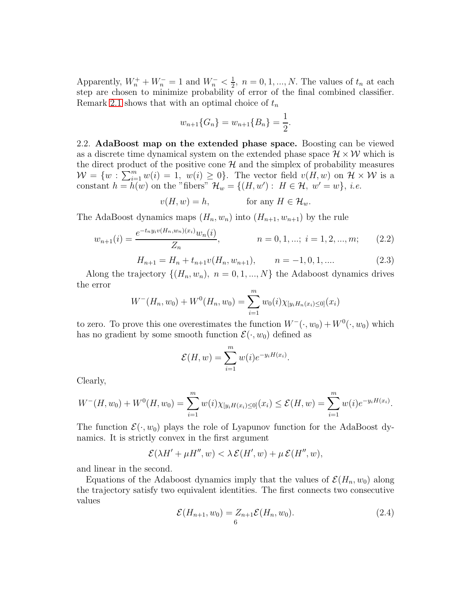Apparently,  $W_n^+ + W_n^- = 1$  and  $W_n^- < \frac{1}{2}$  $\frac{1}{2}$ ,  $n = 0, 1, ..., N$ . The values of  $t_n$  at each step are chosen to minimize probability of error of the final combined classifier. Remark [2.1](#page-6-1) shows that with an optimal choice of  $t_n$ 

$$
w_{n+1}\{G_n\} = w_{n+1}\{B_n\} = \frac{1}{2}.
$$

<span id="page-5-0"></span>2.2. AdaBoost map on the extended phase space. Boosting can be viewed as a discrete time dynamical system on the extended phase space  $\mathcal{H} \times \mathcal{W}$  which is the direct product of the positive cone  $H$  and the simplex of probability measures  $\mathcal{W} = \{w : \sum_{i=1}^m w(i) = 1, w(i) \geq 0\}.$  The vector field  $v(H, w)$  on  $\mathcal{H} \times \mathcal{W}$  is a constant  $h = \dot{h}(w)$  on the "fibers"  $\mathcal{H}_w = \{(H, w') : H \in \mathcal{H}, w' = w\}, i.e.$ 

 $v(H, w) = h$ , for any  $H \in \mathcal{H}_w$ .

The AdaBoost dynamics maps  $(H_n, w_n)$  into  $(H_{n+1}, w_{n+1})$  by the rule

$$
w_{n+1}(i) = \frac{e^{-t_n y_i v(H_n, w_n)(x_i)} w_n(i)}{Z_n}, \qquad n = 0, 1, \dots; i = 1, 2, \dots, m; \qquad (2.2)
$$

$$
H_{n+1} = H_n + t_{n+1}v(H_n, w_{n+1}), \qquad n = -1, 0, 1, .... \tag{2.3}
$$

Along the trajectory  $\{(H_n, w_n), n = 0, 1, ..., N\}$  the Adaboost dynamics drives the error

$$
W^-(H_n, w_0) + W^0(H_n, w_0) = \sum_{i=1}^m w_0(i) \chi_{[y_i H_n(x_i) \le 0]}(x_i)
$$

to zero. To prove this one overestimates the function  $W^{-}(\cdot, w_0) + W^{0}(\cdot, w_0)$  which has no gradient by some smooth function  $\mathcal{E}(\cdot, w_0)$  defined as

$$
\mathcal{E}(H, w) = \sum_{i=1}^{m} w(i) e^{-y_i H(x_i)}.
$$

Clearly,

$$
W^-(H,w_0)+W^0(H,w_0)=\sum_{i=1}^m w(i)\chi_{[y_iH(x_i)\leq 0]}(x_i)\leq \mathcal{E}(H,w)=\sum_{i=1}^m w(i)e^{-y_iH(x_i)}.
$$

The function  $\mathcal{E}(\cdot, w_0)$  plays the role of Lyapunov function for the AdaBoost dynamics. It is strictly convex in the first argument

$$
\mathcal{E}(\lambda H'+\mu H'',w)<\lambda\,\mathcal{E}(H',w)+\mu\,\mathcal{E}(H'',w),
$$

and linear in the second.

Equations of the Adaboost dynamics imply that the values of  $\mathcal{E}(H_n, w_0)$  along the trajectory satisfy two equivalent identities. The first connects two consecutive values

<span id="page-5-1"></span>
$$
\mathcal{E}(H_{n+1}, w_0) = Z_{n+1} \mathcal{E}(H_n, w_0).
$$
\n(2.4)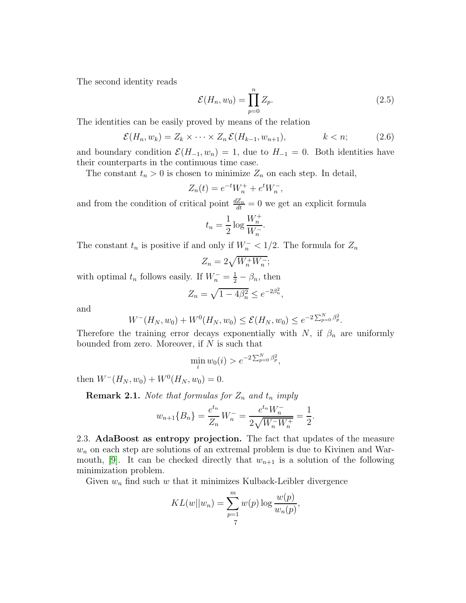The second identity reads

<span id="page-6-3"></span>
$$
\mathcal{E}(H_n, w_0) = \prod_{p=0}^n Z_p.
$$
\n(2.5)

The identities can be easily proved by means of the relation

<span id="page-6-2"></span>
$$
\mathcal{E}(H_n, w_k) = Z_k \times \cdots \times Z_n \mathcal{E}(H_{k-1}, w_{n+1}), \qquad k < n; \tag{2.6}
$$

;

and boundary condition  $\mathcal{E}(H_{-1}, w_n) = 1$ , due to  $H_{-1} = 0$ . Both identities have their counterparts in the continuous time case.

The constant  $t_n > 0$  is chosen to minimize  $Z_n$  on each step. In detail,

$$
Z_n(t) = e^{-t}W_n^+ + e^t W_n^-,
$$

and from the condition of critical point  $\frac{dZ_n}{dt} = 0$  we get an explicit formula

$$
t_n = \frac{1}{2} \log \frac{W_n^+}{W_n^-}.
$$

The constant  $t_n$  is positive if and only if  $W_n^-$  < 1/2. The formula for  $Z_n$ 

$$
Z_n=2\sqrt{W_n^+W_n^-}
$$

with optimal  $t_n$  follows easily. If  $W_n^- = \frac{1}{2} - \beta_n$ , then

$$
Z_n = \sqrt{1 - 4\beta_n^2} \le e^{-2\beta_n^2},
$$

and

$$
W^-(H_N, w_0) + W^0(H_N, w_0) \le \mathcal{E}(H_N, w_0) \le e^{-2\sum_{p=0}^N \beta_p^2}.
$$

Therefore the training error decays exponentially with N, if  $\beta_n$  are uniformly bounded from zero. Moreover, if  $N$  is such that

$$
\min_i w_0(i) > e^{-2\sum_{p=0}^N \beta_p^2},
$$

then  $W^{-}(H_N, w_0) + W^{0}(H_N, w_0) = 0.$ 

<span id="page-6-1"></span>**Remark 2.1.** *Note that formulas for*  $Z_n$  *and*  $t_n$  *imply* 

$$
w_{n+1}\lbrace B_n \rbrace = \frac{e^{t_n}}{Z_n} W_n^- = \frac{e^{t_n} W_n^-}{2\sqrt{W_n^- W_n^+}} = \frac{1}{2}.
$$

<span id="page-6-0"></span>2.3. AdaBoost as entropy projection. The fact that updates of the measure  $w_n$  on each step are solutions of an extremal problem is due to Kivinen and War-mouth, [\[9\]](#page-22-9). It can be checked directly that  $w_{n+1}$  is a solution of the following minimization problem.

Given  $w_n$  find such w that it minimizes Kulback-Leibler divergence

$$
KL(w||w_n) = \sum_{p=1}^{m} w(p) \log \frac{w(p)}{w_n(p)},
$$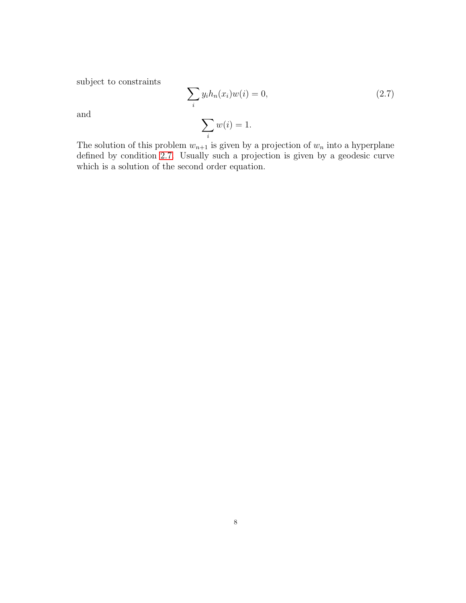subject to constraints

<span id="page-7-0"></span>
$$
\sum_{i} y_i h_n(x_i) w(i) = 0,
$$
\n
$$
\sum_{i} w(i) = 1.
$$
\n(2.7)

and

The solution of this problem  $w_{n+1}$  is given by a projection of  $w_n$  into a hyperplane defined by condition [2.7.](#page-7-0) Usually such a projection is given by a geodesic curve which is a solution of the second order equation.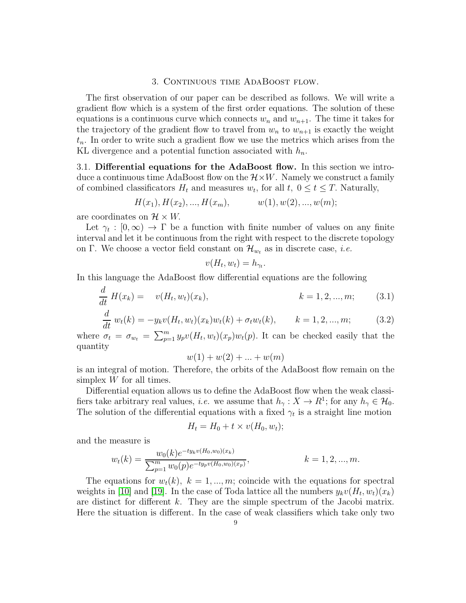## 3. Continuous time AdaBoost flow.

<span id="page-8-0"></span>The first observation of our paper can be described as follows. We will write a gradient flow which is a system of the first order equations. The solution of these equations is a continuous curve which connects  $w_n$  and  $w_{n+1}$ . The time it takes for the trajectory of the gradient flow to travel from  $w_n$  to  $w_{n+1}$  is exactly the weight  $t_n$ . In order to write such a gradient flow we use the metrics which arises from the KL divergence and a potential function associated with  $h_n$ .

<span id="page-8-1"></span>3.1. Differential equations for the AdaBoost flow. In this section we introduce a continuous time AdaBoost flow on the  $\mathcal{H} \times W$ . Namely we construct a family of combined classificators  $H_t$  and measures  $w_t$ , for all  $t, 0 \le t \le T$ . Naturally,

$$
H(x_1), H(x_2), ..., H(x_m), \qquad w(1), w(2), ..., w(m);
$$

are coordinates on  $\mathcal{H} \times W$ .

Let  $\gamma_t : [0, \infty) \to \Gamma$  be a function with finite number of values on any finite interval and let it be continuous from the right with respect to the discrete topology on Γ. We choose a vector field constant on  $\mathcal{H}_{w_t}$  as in discrete case, *i.e.* 

$$
v(H_t, w_t) = h_{\gamma_t}
$$

In this language the AdaBoost flow differential equations are the following

<span id="page-8-3"></span>
$$
\frac{d}{dt}H(x_k) = v(H_t, w_t)(x_k), \qquad k = 1, 2, ..., m; \qquad (3.1)
$$

.

<span id="page-8-2"></span>
$$
\frac{d}{dt} w_t(k) = -y_k v(H_t, w_t)(x_k) w_t(k) + \sigma_t w_t(k), \qquad k = 1, 2, ..., m; \qquad (3.2)
$$

where  $\sigma_t = \sigma_{w_t} = \sum_{p=1}^m y_p v(H_t, w_t)(x_p) w_t(p)$ . It can be checked easily that the quantity

 $w(1) + w(2) + \ldots + w(m)$ 

is an integral of motion. Therefore, the orbits of the AdaBoost flow remain on the simplex  $W$  for all times.

Differential equation allows us to define the AdaBoost flow when the weak classifiers take arbitrary real values, *i.e.* we assume that  $h_{\gamma}: X \to R^1$ ; for any  $h_{\gamma} \in \mathcal{H}_0$ . The solution of the differential equations with a fixed  $\gamma_t$  is a straight line motion

$$
H_t = H_0 + t \times v(H_0, w_t);
$$

and the measure is

$$
w_t(k) = \frac{w_0(k)e^{-ty_kv(H_0, w_0)(x_k)}}{\sum_{p=1}^m w_0(p)e^{-ty_pv(H_0, w_0)(x_p)}}, \qquad k = 1, 2, ..., m.
$$

The equations for  $w_t(k)$ ,  $k = 1, ..., m$ ; coincide with the equations for spectral weights in [\[10\]](#page-22-7) and [\[19\]](#page-22-10). In the case of Toda lattice all the numbers  $y_kv(H_t, w_t)(x_k)$ are distinct for different k. They are the simple spectrum of the Jacobi matrix. Here the situation is different. In the case of weak classifiers which take only two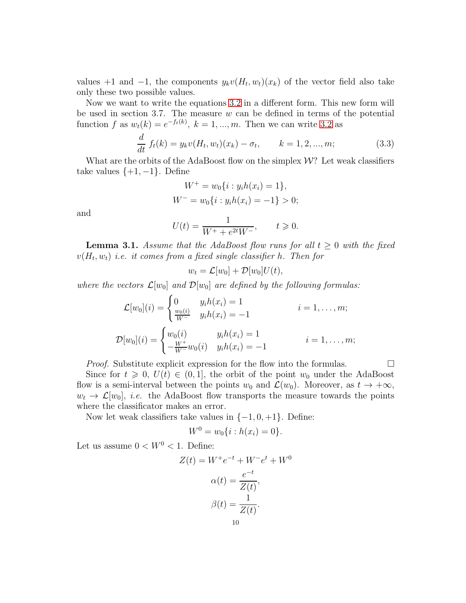values +1 and -1, the components  $y_kv(H_t, w_t)(x_k)$  of the vector field also take only these two possible values.

Now we want to write the equations [3.2](#page-8-2) in a different form. This new form will be used in section 3.7. The measure  $w$  can be defined in terms of the potential function f as  $w_t(k) = e^{-f_t(k)}$ ,  $k = 1, ..., m$ . Then we can write [3.2](#page-8-2) as

<span id="page-9-0"></span>
$$
\frac{d}{dt} f_t(k) = y_k v(H_t, w_t)(x_k) - \sigma_t, \qquad k = 1, 2, ..., m; \qquad (3.3)
$$

What are the orbits of the AdaBoost flow on the simplex  $\mathcal{W}$ ? Let weak classifiers take values  $\{+1, -1\}$ . Define

$$
W^{+} = w_0 \{ i : y_i h(x_i) = 1 \},
$$
  

$$
W^{-} = w_0 \{ i : y_i h(x_i) = -1 \} > 0;
$$

and

$$
U(t) = \frac{1}{W^+ + e^{2t}W^-}, \qquad t \ge 0.
$$

**Lemma 3.1.** *Assume that the AdaBoost flow runs for all*  $t \geq 0$  *with the fixed*  $v(H_t, w_t)$  *i.e. it comes from a fixed single classifier*  $h$ *. Then for* 

$$
w_t = \mathcal{L}[w_0] + \mathcal{D}[w_0]U(t),
$$

*where the vectors*  $\mathcal{L}[w_0]$  *and*  $\mathcal{D}[w_0]$  *are defined by the following formulas:* 

$$
\mathcal{L}[w_0](i) = \begin{cases} 0 & y_i h(x_i) = 1 \\ \frac{w_0(i)}{W^-} & y_i h(x_i) = -1 \end{cases} \qquad i = 1, ..., m;
$$
  

$$
\mathcal{D}[w_0](i) = \begin{cases} w_0(i) & y_i h(x_i) = 1 \\ -\frac{W^+}{W^-} w_0(i) & y_i h(x_i) = -1 \end{cases} \qquad i = 1, ..., m;
$$

*Proof.* Substitute explicit expression for the flow into the formulas.  $\Box$ 

Since for  $t \geq 0$ ,  $U(t) \in (0,1]$ , the orbit of the point  $w_0$  under the AdaBoost flow is a semi-interval between the points  $w_0$  and  $\mathcal{L}(w_0)$ . Moreover, as  $t \to +\infty$ ,  $w_t \to \mathcal{L}[w_0],$  *i.e.* the AdaBoost flow transports the measure towards the points where the classificator makes an error.

Now let weak classifiers take values in  $\{-1, 0, +1\}$ . Define:

$$
W^0 = w_0\{i : h(x_i) = 0\}.
$$

Let us assume  $0 < W^0 < 1$  . Define:

$$
Z(t) = W^+e^{-t} + W^-e^t + W^0
$$

$$
\alpha(t) = \frac{e^{-t}}{Z(t)},
$$

$$
\beta(t) = \frac{1}{Z(t)}.
$$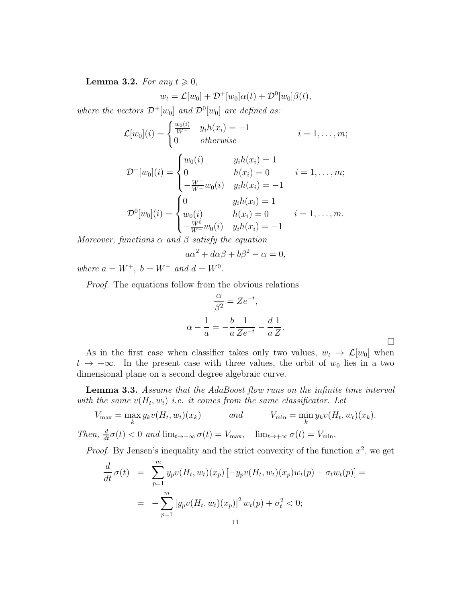**Lemma 3.2.** *For any*  $t \geq 0$ *,* 

$$
w_t = \mathcal{L}[w_0] + \mathcal{D}^+[w_0]\alpha(t) + \mathcal{D}^0[w_0]\beta(t),
$$

*where the vectors*  $\mathcal{D}^+[w_0]$  *and*  $\mathcal{D}^0[w_0]$  *are defined as:* 

$$
\mathcal{L}[w_0](i) = \begin{cases} \frac{w_0(i)}{W^-} & y_i h(x_i) = -1 \\ 0 & otherwise \end{cases} \qquad i = 1, \dots, m;
$$

$$
\mathcal{D}^+[w_0](i) = \begin{cases} w_0(i) & y_i h(x_i) = 1 \\ 0 & h(x_i) = 0 \\ -\frac{W^+}{W^-} w_0(i) & y_i h(x_i) = -1 \end{cases} \quad i = 1, ..., m;
$$
  

$$
\mathcal{D}^0[w_0](i) = \begin{cases} 0 & y_i h(x_i) = 1 \\ w_0(i) & h(x_i) = 0 \\ -\frac{W^0}{W^-} w_0(i) & y_i h(x_i) = -1 \end{cases} \quad i = 1, ..., m.
$$

*Moreover, functions*  $\alpha$  *and*  $\beta$  *satisfy the equation* 

$$
a\alpha^2 + d\alpha\beta + b\beta^2 - \alpha = 0,
$$

*where*  $a = W^+$ ,  $b = W^-$  *and*  $d = W^0$ .

*Proof.* The equations follow from the obvious relations

$$
\frac{\alpha}{\beta^2} = Ze^{-t},
$$
  

$$
\alpha - \frac{1}{a} = -\frac{b}{a} \frac{1}{Ze^{-t}} - \frac{d}{a} \frac{1}{Z}.
$$

 $\Box$ 

As in the first case when classifier takes only two values,  $w_t \to \mathcal{L}[w_0]$  when  $t \to +\infty$ . In the present case with three values, the orbit of  $w_0$  lies in a two dimensional plane on a second degree algebraic curve.

Lemma 3.3. *Assume that the AdaBoost flow runs on the infinite time interval* with the same  $v(H_t, w_t)$  *i.e.* it comes from the same classificator. Let

$$
V_{\max} = \max_{k} y_k v(H_t, w_t)(x_k)
$$
 and 
$$
V_{\min} = \min_{k} y_k v(H_t, w_t)(x_k).
$$
  
Then,  $\frac{d}{dt}\sigma(t) < 0$  and  $\lim_{t \to -\infty} \sigma(t) = V_{\max}$ ,  $\lim_{t \to +\infty} \sigma(t) = V_{\min}$ .

*Proof.* By Jensen's inequality and the strict convexity of the function  $x^2$ , we get

$$
\frac{d}{dt}\sigma(t) = \sum_{p=1}^{m} y_p v(H_t, w_t)(x_p) [-y_p v(H_t, w_t)(x_p) w_t(p) + \sigma_t w_t(p)] =
$$
\n
$$
= -\sum_{p=1}^{m} [y_p v(H_t, w_t)(x_p)]^2 w_t(p) + \sigma_t^2 < 0;
$$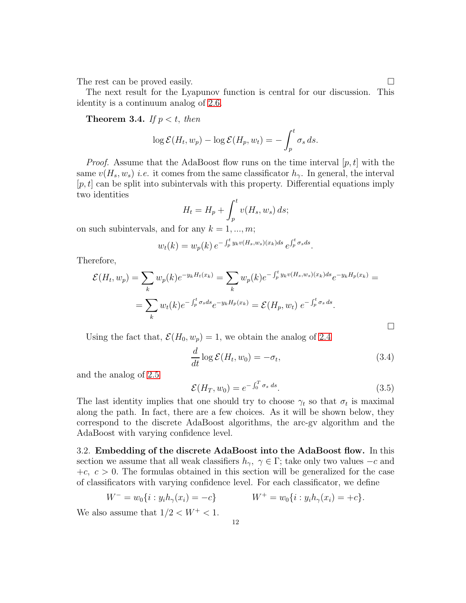The rest can be proved easily.

The next result for the Lyapunov function is central for our discussion. This identity is a continuum analog of [2.6.](#page-6-2)

**Theorem 3.4.** *If*  $p < t$ *, then* 

$$
\log \mathcal{E}(H_t, w_p) - \log \mathcal{E}(H_p, w_t) = -\int_p^t \sigma_s ds.
$$

*Proof.* Assume that the AdaBoost flow runs on the time interval  $[p, t]$  with the same  $v(H_s, w_s)$  *i.e.* it comes from the same classificator  $h_\gamma$ . In general, the interval  $[p, t]$  can be split into subintervals with this property. Differential equations imply two identities

$$
H_t = H_p + \int_p^t v(H_s, w_s) ds;
$$

on such subintervals, and for any  $k = 1, ..., m$ ;

$$
w_t(k) = w_p(k) e^{-\int_p^t y_k v(H_s, w_s)(x_k) ds} e^{\int_p^t \sigma_s ds}.
$$

Therefore,

$$
\mathcal{E}(H_t, w_p) = \sum_k w_p(k) e^{-y_k H_t(x_k)} = \sum_k w_p(k) e^{-\int_p^t y_k v(H_s, w_s)(x_k) ds} e^{-y_k H_p(x_k)} =
$$
  
= 
$$
\sum_k w_t(k) e^{-\int_p^t \sigma_s ds} e^{-y_k H_p(x_k)} = \mathcal{E}(H_p, w_t) e^{-\int_p^t \sigma_s ds}.
$$

Using the fact that,  $\mathcal{E}(H_0, w_p) = 1$ , we obtain the analog of [2.4](#page-5-1)

$$
\frac{d}{dt}\log \mathcal{E}(H_t, w_0) = -\sigma_t,\tag{3.4}
$$

and the analog of [2.5](#page-6-3)

<span id="page-11-1"></span>
$$
\mathcal{E}(H_T, w_0) = e^{-\int_0^T \sigma_s ds}.
$$
\n(3.5)

The last identity implies that one should try to choose  $\gamma_t$  so that  $\sigma_t$  is maximal along the path. In fact, there are a few choices. As it will be shown below, they correspond to the discrete AdaBoost algorithms, the arc-gv algorithm and the AdaBoost with varying confidence level.

<span id="page-11-0"></span>3.2. Embedding of the discrete AdaBoost into the AdaBoost flow. In this section we assume that all weak classifiers  $h_{\gamma}$ ,  $\gamma \in \Gamma$ ; take only two values  $-c$  and  $+c, c > 0$ . The formulas obtained in this section will be generalized for the case of classificators with varying confidence level. For each classificator, we define

$$
W^- = w_0\{i : y_i h_\gamma(x_i) = -c\} \qquad W^+ = w_0\{i : y_i h_\gamma(x_i) = +c\}.
$$

We also assume that  $1/2 < W^+ < 1$ .

 $\Box$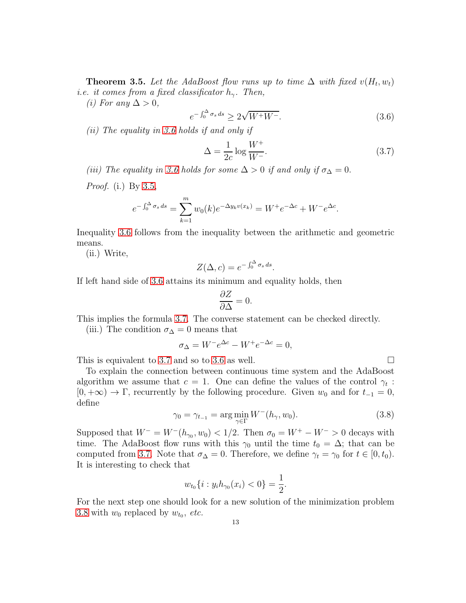<span id="page-12-3"></span>**Theorem 3.5.** Let the AdaBoost flow runs up to time  $\Delta$  with fixed  $v(H_t, w_t)$ *i.e. it comes from a fixed classificator*  $h_{\gamma}$ . Then,

*(i)* For any  $\Delta > 0$ ,

<span id="page-12-0"></span>
$$
e^{-\int_0^\Delta \sigma_s ds} \ge 2\sqrt{W^+ W^-}.\tag{3.6}
$$

*(ii) The equality in [3.6](#page-12-0) holds if and only if*

<span id="page-12-1"></span>
$$
\Delta = \frac{1}{2c} \log \frac{W^+}{W^-}.\tag{3.7}
$$

*(iii)* The equality in [3.6](#page-12-0) holds for some  $\Delta > 0$  if and only if  $\sigma_{\Delta} = 0$ .

*Proof.* (i.) By [3.5,](#page-11-1)

$$
e^{-\int_0^{\Delta} \sigma_s ds} = \sum_{k=1}^m w_0(k) e^{-\Delta y_k v(x_k)} = W^+ e^{-\Delta c} + W^- e^{\Delta c}.
$$

Inequality [3.6](#page-12-0) follows from the inequality between the arithmetic and geometric means.

(ii.) Write,

$$
Z(\Delta, c) = e^{-\int_0^{\Delta} \sigma_s ds}.
$$

If left hand side of [3.6](#page-12-0) attains its minimum and equality holds, then

$$
\frac{\partial Z}{\partial \Delta} = 0.
$$

This implies the formula [3.7.](#page-12-1) The converse statement can be checked directly.

(iii.) The condition  $\sigma_{\Delta} = 0$  means that

$$
\sigma_{\Delta} = W^- e^{\Delta c} - W^+ e^{-\Delta c} = 0,
$$

This is equivalent to [3.7](#page-12-1) and so to [3.6](#page-12-0) as well.  $\Box$ 

To explain the connection between continuous time system and the AdaBoost algorithm we assume that  $c = 1$ . One can define the values of the control  $\gamma_t$ :  $[0, +\infty) \to \Gamma$ , recurrently by the following procedure. Given  $w_0$  and for  $t_{-1} = 0$ , define

<span id="page-12-2"></span>
$$
\gamma_0 = \gamma_{t-1} = \arg\min_{\gamma \in \Gamma} W^-(h_\gamma, w_0). \tag{3.8}
$$

Supposed that  $W^- = W^-(h_{\gamma_0}, w_0) < 1/2$ . Then  $\sigma_0 = W^+ - W^- > 0$  decays with time. The AdaBoost flow runs with this  $\gamma_0$  until the time  $t_0 = \Delta$ ; that can be computed from [3.7.](#page-12-1) Note that  $\sigma_{\Delta} = 0$ . Therefore, we define  $\gamma_t = \gamma_0$  for  $t \in [0, t_0)$ . It is interesting to check that

$$
w_{t_0}\{i: y_i h_{\gamma_0}(x_i) < 0\} = \frac{1}{2}.
$$

For the next step one should look for a new solution of the minimization problem [3.8](#page-12-2) with  $w_0$  replaced by  $w_{t_0}$ , *etc.*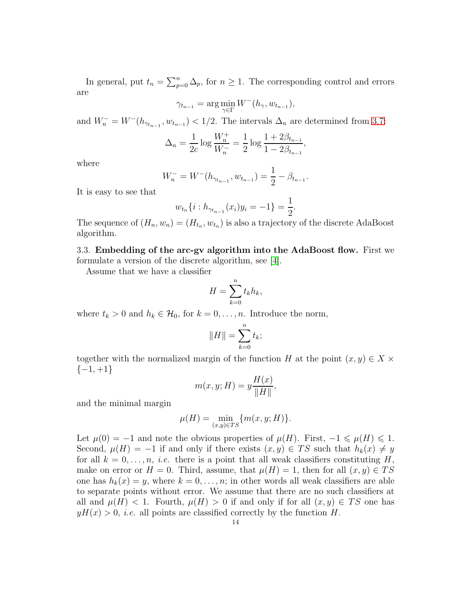In general, put  $t_n = \sum_{p=0}^n \Delta_p$ , for  $n \geq 1$ . The corresponding control and errors are

$$
\gamma_{t_{n-1}} = \arg\min_{\gamma \in \Gamma} W^-(h_{\gamma}, w_{t_{n-1}}),
$$

and  $W_n^- = W^-(h_{\gamma_{t_{n-1}}}, w_{t_{n-1}}) < 1/2$ . The intervals  $\Delta_n$  are determined from [3.7:](#page-12-1)

$$
\Delta_n = \frac{1}{2c} \log \frac{W_n^+}{W_n^-} = \frac{1}{2} \log \frac{1 + 2\beta_{t_{n-1}}}{1 - 2\beta_{t_{n-1}}},
$$

where

$$
W_n^- = W^-(h_{\gamma_{t_{n-1}}}, w_{t_{n-1}}) = \frac{1}{2} - \beta_{t_{n-1}}.
$$

It is easy to see that

$$
w_{t_n}\{i : h_{\gamma_{t_{n-1}}}(x_i)y_i = -1\} = \frac{1}{2}.
$$

The sequence of  $(H_n, w_n) = (H_{t_n}, w_{t_n})$  is also a trajectory of the discrete AdaBoost algorithm.

<span id="page-13-0"></span>3.3. Embedding of the arc-gv algorithm into the AdaBoost flow. First we formulate a version of the discrete algorithm, see [\[4\]](#page-22-4).

Assume that we have a classifier

$$
H = \sum_{k=0}^{n} t_k h_k,
$$

where  $t_k > 0$  and  $h_k \in \mathcal{H}_0$ , for  $k = 0, \ldots, n$ . Introduce the norm,

$$
||H|| = \sum_{k=0}^{n} t_k;
$$

together with the normalized margin of the function H at the point  $(x, y) \in X \times$  $\{-1, +1\}$ 

$$
m(x, y; H) = y \frac{H(x)}{\|H\|},
$$

and the minimal margin

$$
\mu(H) = \min_{(x,y)\in TS} \{m(x,y;H)\}.
$$

Let  $\mu(0) = -1$  and note the obvious properties of  $\mu(H)$ . First,  $-1 \le \mu(H) \le 1$ . Second,  $\mu(H) = -1$  if and only if there exists  $(x, y) \in TS$  such that  $h_k(x) \neq y$ for all  $k = 0, \ldots, n$ , *i.e.* there is a point that all weak classifiers constituting H, make on error or  $H = 0$ . Third, assume, that  $\mu(H) = 1$ , then for all  $(x, y) \in TS$ one has  $h_k(x) = y$ , where  $k = 0, \ldots, n$ ; in other words all weak classifiers are able to separate points without error. We assume that there are no such classifiers at all and  $\mu(H) < 1$ . Fourth,  $\mu(H) > 0$  if and only if for all  $(x, y) \in TS$  one has  $yH(x) > 0$ , *i.e.* all points are classified correctly by the function H.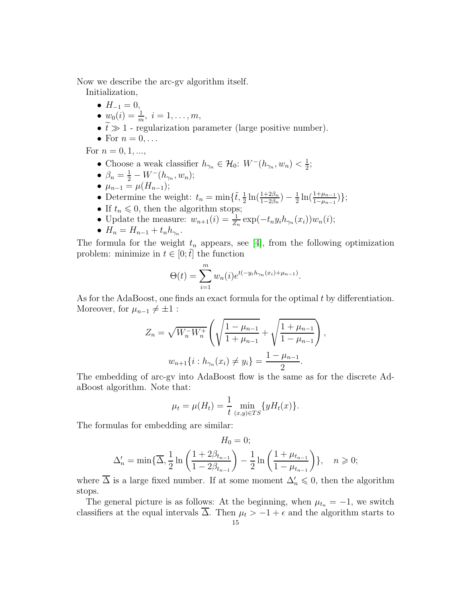Now we describe the arc-gv algorithm itself.

Initialization,

- $H_{-1} = 0$ ,
- $w_0(i) = \frac{1}{m}, i = 1, \ldots, m,$
- $\tilde{t} \gg 1$  regularization parameter (large positive number).
- For  $n = 0, \ldots$

For  $n = 0, 1, ...$ ,

- Choose a weak classifier  $h_{\gamma_n} \in \mathcal{H}_0$ :  $W^-(h_{\gamma_n}, w_n) < \frac{1}{2}$  $\frac{1}{2}$ ;
- $\beta_n = \frac{1}{2} W^-(h_{\gamma_n}, w_n);$
- $\mu_{n-1} = \mu(H_{n-1});$
- Determine the weight:  $t_n = \min\{\tilde{t}, \frac{1}{2}\ln(\frac{1+2\beta_n}{1-2\beta_n}) \frac{1}{2}\}$  $\frac{1}{2}\ln(\frac{1+\mu_{n-1}}{1-\mu_{n-1}})\};$
- If  $t_n \leq 0$ , then the algorithm stops;
- Update the measure:  $w_{n+1}(i) = \frac{1}{Z_n} \exp(-t_n y_i h_{\gamma_n}(x_i)) w_n(i);$
- $H_n = H_{n-1} + t_n h_{\gamma_n}$ .

The formula for the weight  $t_n$  appears, see [\[4\]](#page-22-4), from the following optimization problem: minimize in  $t \in [0; \tilde{t}]$  the function

$$
\Theta(t) = \sum_{i=1}^{m} w_n(i) e^{t(-y_i h_{\gamma_n}(x_i) + \mu_{n-1})}.
$$

As for the AdaBoost, one finds an exact formula for the optimal t by differentiation. Moreover, for  $\mu_{n-1} \neq \pm 1$ :

$$
Z_n = \sqrt{W_n^- W_n^+} \left( \sqrt{\frac{1 - \mu_{n-1}}{1 + \mu_{n-1}}} + \sqrt{\frac{1 + \mu_{n-1}}{1 - \mu_{n-1}}} \right),
$$
  

$$
w_{n+1} \{ i : h_{\gamma_n}(x_i) \neq y_i \} = \frac{1 - \mu_{n-1}}{2}.
$$

The embedding of arc-gv into AdaBoost flow is the same as for the discrete AdaBoost algorithm. Note that:

$$
\mu_t = \mu(H_t) = \frac{1}{t} \min_{(x,y) \in TS} \{ yH_t(x) \}.
$$

The formulas for embedding are similar:

$$
H_0 = 0;
$$
  

$$
\Delta'_n = \min\{\overline{\Delta}, \frac{1}{2}\ln\left(\frac{1+2\beta_{t_{n-1}}}{1-2\beta_{t_{n-1}}}\right) - \frac{1}{2}\ln\left(\frac{1+\mu_{t_{n-1}}}{1-\mu_{t_{n-1}}}\right)\}, \quad n \ge 0;
$$

where  $\overline{\Delta}$  is a large fixed number. If at some moment  $\Delta'_n \leq 0$ , then the algorithm stops.

The general picture is as follows: At the beginning, when  $\mu_{t_n} = -1$ , we switch classifiers at the equal intervals  $\overline{\Delta}$ . Then  $\mu_t > -1 + \epsilon$  and the algorithm starts to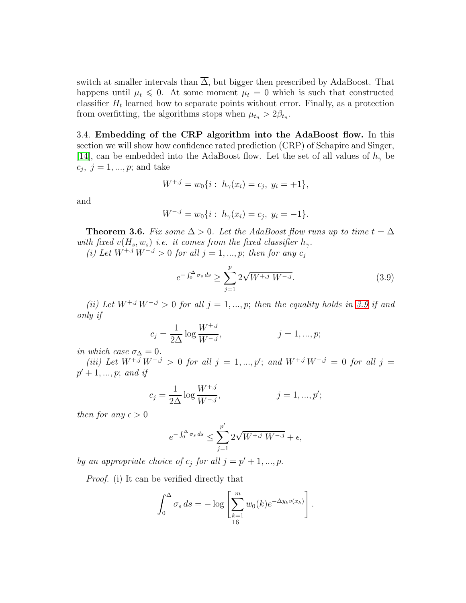switch at smaller intervals than  $\overline{\Delta}$ , but bigger then prescribed by AdaBoost. That happens until  $\mu_t \leq 0$ . At some moment  $\mu_t = 0$  which is such that constructed classifier  $H_t$  learned how to separate points without error. Finally, as a protection from overfitting, the algorithms stops when  $\mu_{t_n} > 2\beta_{t_n}$ .

<span id="page-15-0"></span>3.4. Embedding of the CRP algorithm into the AdaBoost flow. In this section we will show how confidence rated prediction (CRP) of Schapire and Singer, [\[14\]](#page-22-5), can be embedded into the AdaBoost flow. Let the set of all values of  $h_{\gamma}$  be  $c_j, \, j = 1, ..., p;$  and take

$$
W^{+,j} = w_0\{i : h_{\gamma}(x_i) = c_j, y_i = +1\},\
$$

and

$$
W^{-,j} = w_0\{i : h_{\gamma}(x_i) = c_j, y_i = -1\}.
$$

**Theorem 3.6.** *Fix some*  $\Delta > 0$ *. Let the AdaBoost flow runs up to time*  $t = \Delta$ *with fixed*  $v(H_s, w_s)$  *i.e. it comes from the fixed classifier*  $h_\gamma$ .

*(i)* Let  $W^{+,j} W^{-,j} > 0$  for all  $j = 1, ..., p$ ; then for any  $c_j$ 

<span id="page-15-1"></span>
$$
e^{-\int_0^{\Delta} \sigma_s ds} \ge \sum_{j=1}^p 2\sqrt{W^{+,j} W^{-,j}}.
$$
 (3.9)

*(ii) Let*  $W^{+,j}W^{-,j} > 0$  *for all*  $j = 1, ..., p$ ; *then the equality holds in* [3.9](#page-15-1) *if and only if*

$$
c_j = \frac{1}{2\Delta} \log \frac{W^{+,j}}{W^{-,j}}, \qquad j = 1, ..., p;
$$

*in which case*  $\sigma_{\Delta} = 0$ *.* 

*(iii)* Let  $W^{+,j} W^{-,j} > 0$  for all  $j = 1, ..., p'$ ; and  $W^{+,j} W^{-,j} = 0$  for all  $j =$  $p' + 1, ..., p;$  *and if* 

$$
c_j = \frac{1}{2\Delta} \log \frac{W^{+,j}}{W^{-,j}}, \qquad j = 1, ..., p';
$$

*then for any*  $\epsilon > 0$ 

$$
e^{-\int_0^\Delta \sigma_s ds} \le \sum_{j=1}^{p'} 2\sqrt{W^{+,j} W^{-,j}} + \epsilon,
$$

*by an appropriate choice of*  $c_j$  *for all*  $j = p' + 1, ..., p$ .

*Proof.* (i) It can be verified directly that

$$
\int_0^{\Delta} \sigma_s ds = -\log \left[ \sum_{\substack{k=1 \ 16}}^m w_0(k) e^{-\Delta y_k v(x_k)} \right].
$$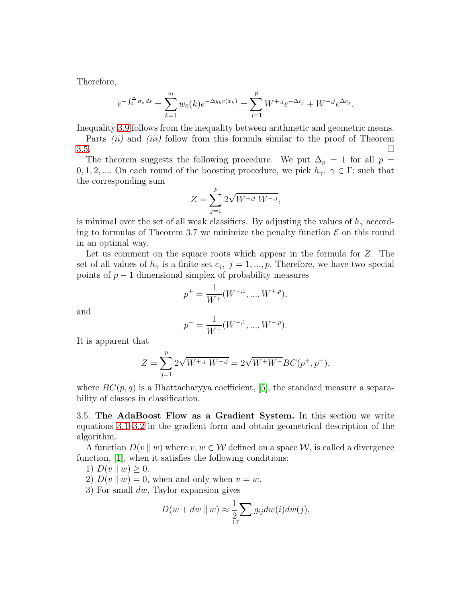Therefore,

$$
e^{-\int_0^{\Delta} \sigma_s ds} = \sum_{k=1}^m w_0(k) e^{-\Delta y_k v(x_k)} = \sum_{j=1}^p W^{+,j} e^{-\Delta c_j} + W^{-,j} e^{\Delta c_j}
$$

.

Inequality [3.9](#page-15-1) follows from the inequality between arithmetic and geometric means.

Parts *(ii)* and *(iii)* follow from this formula similar to the proof of Theorem  $3.5.$ 

The theorem suggests the following procedure. We put  $\Delta_p = 1$  for all  $p =$ 0, 1, 2, .... On each round of the boosting procedure, we pick  $h_{\gamma}$ ,  $\gamma \in \Gamma$ ; such that the corresponding sum

$$
Z = \sum_{j=1}^{p} 2\sqrt{W^{+,j} W^{-,j}},
$$

is minimal over the set of all weak classifiers. By adjusting the values of  $h_{\gamma}$  according to formulas of Theorem 3.7 we minimize the penalty function  $\mathcal E$  on this round in an optimal way.

Let us comment on the square roots which appear in the formula for Z. The set of all values of  $h_{\gamma}$  is a finite set  $c_j$ ,  $j = 1, ..., p$ . Therefore, we have two special points of  $p-1$  dimensional simplex of probability measures

$$
p^{+} = \frac{1}{W^{+}}(W^{+,1}, ..., W^{+,p}),
$$

and

$$
p^- = \frac{1}{W^-}(W^{-,1}, ..., W^{-,p}).
$$

It is apparent that

$$
Z = \sum_{j=1}^{p} 2\sqrt{W^{+,j} W^{-,j}} = 2\sqrt{W^+ W^-} B C(p^+, p^-).
$$

where  $BC(p, q)$  is a Bhattacharyya coefficient, [\[5\]](#page-22-11), the standard measure a separability of classes in classification.

<span id="page-16-0"></span>3.5. The AdaBoost Flow as a Gradient System. In this section we write equations [3.1–](#page-8-3)[3.2](#page-8-2) in the gradient form and obtain geometrical description of the algorithm.

A function  $D(v||w)$  where  $v, w \in W$  defined on a space  $W$ , is called a divergence function, [\[1\]](#page-22-12), when it satisfies the following conditions:

1) 
$$
D(v \parallel w) \geq 0
$$
.

2)  $D(v \mid w) = 0$ , when and only when  $v = w$ .

3) For small dw, Taylor expansion gives

$$
D(w + dw || w) \approx \frac{1}{2} \sum_{17} g_{ij} dw(i) dw(j),
$$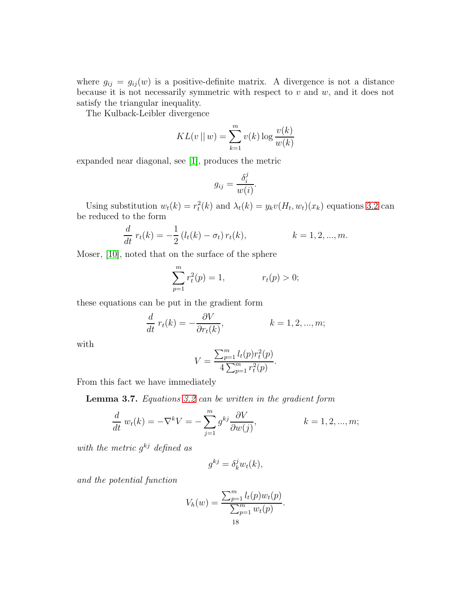where  $g_{ij} = g_{ij}(w)$  is a positive-definite matrix. A divergence is not a distance because it is not necessarily symmetric with respect to  $v$  and  $w$ , and it does not satisfy the triangular inequality.

The Kulback-Leibler divergence

$$
KL(v \mid w) = \sum_{k=1}^{m} v(k) \log \frac{v(k)}{w(k)}
$$

expanded near diagonal, see [\[1\]](#page-22-12), produces the metric

$$
g_{ij} = \frac{\delta_i^j}{w(i)}.
$$

Using substitution  $w_t(k) = r_t^2(k)$  and  $\lambda_t(k) = y_k v(H_t, w_t)(x_k)$  equations [3.2](#page-8-2) can be reduced to the form

$$
\frac{d}{dt} r_t(k) = -\frac{1}{2} (l_t(k) - \sigma_t) r_t(k), \qquad k = 1, 2, ..., m.
$$

Moser, [\[10\]](#page-22-7), noted that on the surface of the sphere

$$
\sum_{p=1}^{m} r_t^2(p) = 1, \qquad r_t(p) > 0;
$$

these equations can be put in the gradient form

$$
\frac{d}{dt} r_t(k) = -\frac{\partial V}{\partial r_t(k)}, \qquad k = 1, 2, ..., m;
$$

with

$$
V = \frac{\sum_{p=1}^{m} l_t(p) r_t^2(p)}{4 \sum_{p=1}^{m} r_t^2(p)}.
$$

From this fact we have immediately

Lemma 3.7. *Equations [3.2](#page-8-2) can be written in the gradient form*

$$
\frac{d}{dt} w_t(k) = -\nabla^k V = -\sum_{j=1}^m g^{kj} \frac{\partial V}{\partial w(j)}, \qquad k = 1, 2, ..., m;
$$

*with the metric* g kj *defined as*

$$
g^{kj} = \delta_k^j w_t(k),
$$

*and the potential function*

$$
V_h(w) = \frac{\sum_{p=1}^m l_t(p) w_t(p)}{\sum_{p=1}^m w_t(p)}.
$$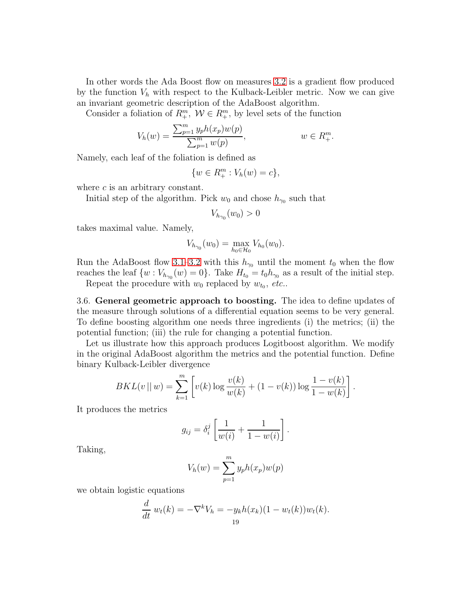In other words the Ada Boost flow on measures [3.2](#page-8-2) is a gradient flow produced by the function  $V_h$  with respect to the Kulback-Leibler metric. Now we can give an invariant geometric description of the AdaBoost algorithm.

Consider a foliation of  $R_+^m$ ,  $\mathcal{W} \in R_+^m$ , by level sets of the function

$$
V_h(w) = \frac{\sum_{p=1}^m y_p h(x_p) w(p)}{\sum_{p=1}^m w(p)}, \qquad w \in R_+^m.
$$

Namely, each leaf of the foliation is defined as

$$
\{w \in R_+^m : V_h(w) = c\},\
$$

where  $c$  is an arbitrary constant.

Initial step of the algorithm. Pick  $w_0$  and chose  $h_{\gamma_0}$  such that

 $V_{h_{\gamma_0}}(w_0) > 0$ 

takes maximal value. Namely,

$$
V_{h_{\gamma_0}}(w_0) = \max_{h_0 \in \mathcal{H}_0} V_{h_0}(w_0).
$$

Run the AdaBoost flow [3.1](#page-8-3)[–3.2](#page-8-2) with this  $h_{\gamma_0}$  until the moment  $t_0$  when the flow reaches the leaf  $\{w: V_{h_{\gamma_0}}(w) = 0\}$ . Take  $H_{t_0} = t_0 h_{\gamma_0}$  as a result of the initial step.

Repeat the procedure with  $w_0$  replaced by  $w_{t_0}$ , *etc.*.

<span id="page-18-0"></span>3.6. General geometric approach to boosting. The idea to define updates of the measure through solutions of a differential equation seems to be very general. To define boosting algorithm one needs three ingredients (i) the metrics; (ii) the potential function; (iii) the rule for changing a potential function.

Let us illustrate how this approach produces Logitboost algorithm. We modify in the original AdaBoost algorithm the metrics and the potential function. Define binary Kulback-Leibler divergence

$$
BKL(v \mid w) = \sum_{k=1}^{m} \left[ v(k) \log \frac{v(k)}{w(k)} + (1 - v(k)) \log \frac{1 - v(k)}{1 - w(k)} \right]
$$

.

It produces the metrics

$$
g_{ij} = \delta_i^j \left[ \frac{1}{w(i)} + \frac{1}{1 - w(i)} \right].
$$

Taking,

$$
V_h(w) = \sum_{p=1}^m y_p h(x_p) w(p)
$$

we obtain logistic equations

$$
\frac{d}{dt} w_t(k) = -\nabla^k V_h = -y_k h(x_k)(1 - w_t(k))w_t(k).
$$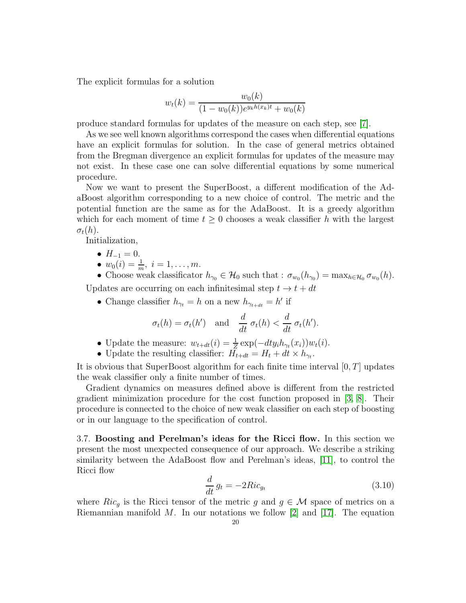The explicit formulas for a solution

$$
w_t(k) = \frac{w_0(k)}{(1 - w_0(k))e^{y_k h(x_k)t} + w_0(k)}
$$

produce standard formulas for updates of the measure on each step, see [\[7\]](#page-22-8).

As we see well known algorithms correspond the cases when differential equations have an explicit formulas for solution. In the case of general metrics obtained from the Bregman divergence an explicit formulas for updates of the measure may not exist. In these case one can solve differential equations by some numerical procedure.

Now we want to present the SuperBoost, a different modification of the AdaBoost algorithm corresponding to a new choice of control. The metric and the potential function are the same as for the AdaBoost. It is a greedy algorithm which for each moment of time  $t \geq 0$  chooses a weak classifier h with the largest  $\sigma_t(h)$ .

Initialization,

- $H_{-1} = 0$ .
- $w_0(i) = \frac{1}{m}, i = 1, \ldots, m.$

• Choose weak classificator  $h_{\gamma_0} \in \mathcal{H}_0$  such that :  $\sigma_{w_0}(h_{\gamma_0}) = \max_{h \in \mathcal{H}_0} \sigma_{w_0}(h)$ .

Updates are occurring on each infinitesimal step  $t \to t + dt$ 

• Change classifier  $h_{\gamma_t} = h$  on a new  $h_{\gamma_{t+dt}} = h'$  if

$$
\sigma_t(h) = \sigma_t(h')
$$
 and  $\frac{d}{dt} \sigma_t(h) < \frac{d}{dt} \sigma_t(h').$ 

- Update the measure:  $w_{t+dt}(i) = \frac{1}{z} \exp(-dt y_i h_{\gamma_t}(x_i)) w_t(i)$ .
- Update the resulting classifier:  $H_{t+dt} = H_t + dt \times h_{\gamma_t}$ .

It is obvious that SuperBoost algorithm for each finite time interval  $[0, T]$  updates the weak classifier only a finite number of times.

Gradient dynamics on measures defined above is different from the restricted gradient minimization procedure for the cost function proposed in [\[3,](#page-22-13) [8\]](#page-22-14). Their procedure is connected to the choice of new weak classifier on each step of boosting or in our language to the specification of control.

<span id="page-19-0"></span>3.7. Boosting and Perelman's ideas for the Ricci flow. In this section we present the most unexpected consequence of our approach. We describe a striking similarity between the AdaBoost flow and Perelman's ideas, [\[11\]](#page-22-15), to control the Ricci flow

<span id="page-19-1"></span>
$$
\frac{d}{dt}g_t = -2Ric_{g_t} \tag{3.10}
$$

where  $Ric_g$  is the Ricci tensor of the metric g and  $g \in \mathcal{M}$  space of metrics on a Riemannian manifold  $M$ . In our notations we follow [\[2\]](#page-22-16) and [\[17\]](#page-22-17). The equation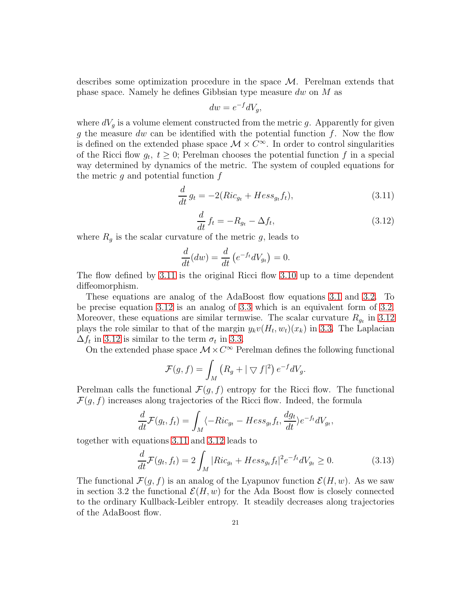describes some optimization procedure in the space M. Perelman extends that phase space. Namely he defines Gibbsian type measure dw on M as

$$
dw = e^{-f}dV_g,
$$

where  $dV<sub>q</sub>$  is a volume element constructed from the metric g. Apparently for given g the measure dw can be identified with the potential function  $f$ . Now the flow is defined on the extended phase space  $\mathcal{M} \times C^{\infty}$ . In order to control singularities of the Ricci flow  $g_t$ ,  $t \geq 0$ ; Perelman chooses the potential function f in a special way determined by dynamics of the metric. The system of coupled equations for the metric  $q$  and potential function  $f$ 

<span id="page-20-0"></span>
$$
\frac{d}{dt}g_t = -2(Ric_{g_t} + Hess_{g_t}f_t),
$$
\n(3.11)

<span id="page-20-1"></span>
$$
\frac{d}{dt}f_t = -R_{g_t} - \Delta f_t,\tag{3.12}
$$

where  $R_g$  is the scalar curvature of the metric g, leads to

$$
\frac{d}{dt}(dw) = \frac{d}{dt}(e^{-ft}dV_{g_t}) = 0.
$$

The flow defined by [3.11](#page-20-0) is the original Ricci flow [3.10](#page-19-1) up to a time dependent diffeomorphism.

These equations are analog of the AdaBoost flow equations [3.1](#page-8-3) and [3.2.](#page-8-2) To be precise equation [3.12](#page-20-1) is an analog of [3.3](#page-9-0) which is an equivalent form of [3.2.](#page-8-2) Moreover, these equations are similar termwise. The scalar curvature  $R_{g_t}$  in [3.12](#page-20-1) plays the role similar to that of the margin  $y_kv(H_t, w_t)(x_k)$  in [3.3.](#page-9-0) The Laplacian  $\Delta f_t$  in [3.12](#page-20-1) is similar to the term  $\sigma_t$  in [3.3.](#page-9-0)

On the extended phase space  $\mathcal{M}\times C^{\infty}$  Perelman defines the following functional

$$
\mathcal{F}(g,f) = \int_M (R_g + |\nabla f|^2) e^{-f} dV_g.
$$

Perelman calls the functional  $\mathcal{F}(g, f)$  entropy for the Ricci flow. The functional  $\mathcal{F}(g, f)$  increases along trajectories of the Ricci flow. Indeed, the formula

$$
\frac{d}{dt}\mathcal{F}(g_t, f_t) = \int_M \langle -Ric_{g_t} - Hess_{g_t} f_t, \frac{dg_t}{dt} \rangle e^{-f_t} dV_{g_t},
$$

together with equations [3.11](#page-20-0) and [3.12](#page-20-1) leads to

$$
\frac{d}{dt}\mathcal{F}(g_t, f_t) = 2\int_M |Ric_{g_t} + Hess_{g_t}f_t|^2 e^{-f_t} dV_{g_t} \ge 0.
$$
\n(3.13)

The functional  $\mathcal{F}(q, f)$  is an analog of the Lyapunov function  $\mathcal{E}(H, w)$ . As we saw in section 3.2 the functional  $\mathcal{E}(H, w)$  for the Ada Boost flow is closely connected to the ordinary Kullback-Leibler entropy. It steadily decreases along trajectories of the AdaBoost flow.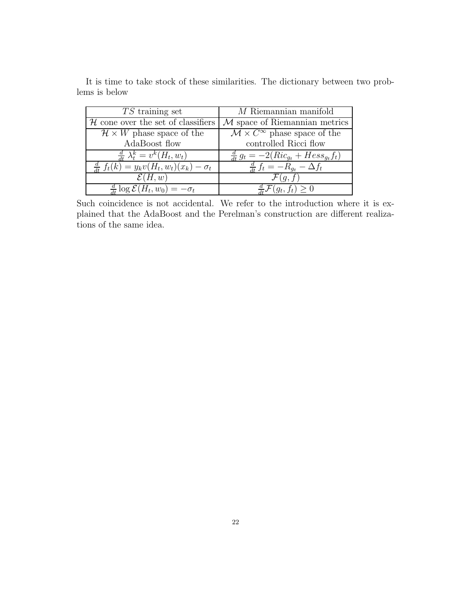| $TS$ training set                                       | $M$ Riemannian manifold                                       |
|---------------------------------------------------------|---------------------------------------------------------------|
| ${\mathcal H}$ cone over the set of classifiers         | $M$ space of Riemannian metrics                               |
| $\mathcal{H} \times W$ phase space of the               | $\overline{\mathcal{M}} \times C^{\infty}$ phase space of the |
| AdaBoost flow                                           | controlled Ricci flow                                         |
| $\frac{d}{dt} \lambda_t^k = v^k(H_t, w_t)$              | $\frac{a}{dt} g_t = -2(Ric_{g_t} + Hess_{g_t}f_t)$            |
| $\frac{d}{dt} f_t(k) = y_k v(H_t, w_t)(x_k) - \sigma_t$ | $\frac{d}{dt} f_t = -R_{q_t} - \Delta f_t$                    |
| $\mathcal{E}(H,w)$                                      | $\mathcal{F}(q, t)$                                           |
| $\frac{d}{dt} \log \mathcal{E}(H_t, w_0) = -\sigma_t$   | $\mathcal{F}(g_t, f_t) \geq 0$                                |

It is time to take stock of these similarities. The dictionary between two problems is below

Such coincidence is not accidental. We refer to the introduction where it is explained that the AdaBoost and the Perelman's construction are different realizations of the same idea.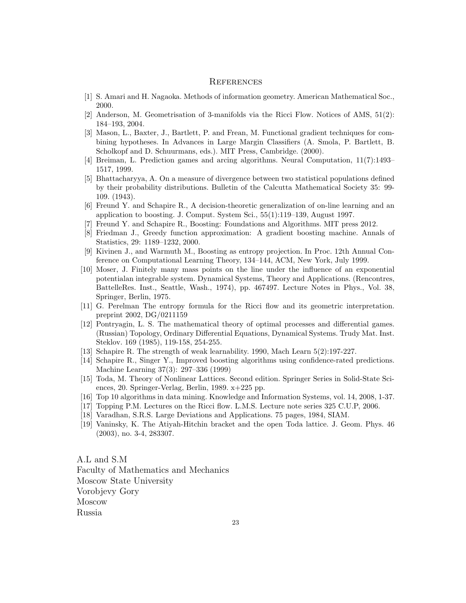## <span id="page-22-0"></span>**REFERENCES**

- <span id="page-22-16"></span><span id="page-22-12"></span>[1] S. Amari and H. Nagaoka. Methods of information geometry. American Mathematical Soc., 2000.
- <span id="page-22-13"></span>[2] Anderson, M. Geometrisation of 3-manifolds via the Ricci Flow. Notices of AMS, 51(2): 184–193, 2004.
- [3] Mason, L., Baxter, J., Bartlett, P. and Frean, M. Functional gradient techniques for combining hypotheses. In Advances in Large Margin Classifiers (A. Smola, P. Bartlett, B. Scholkopf and D. Schuurmans, eds.). MIT Press, Cambridge. (2000).
- <span id="page-22-11"></span><span id="page-22-4"></span>[4] Breiman, L. Prediction games and arcing algorithms. Neural Computation, 11(7):1493– 1517, 1999.
- [5] Bhattacharyya, A. On a measure of divergence between two statistical populations defined by their probability distributions. Bulletin of the Calcutta Mathematical Society 35: 99- 109. (1943).
- <span id="page-22-1"></span>[6] Freund Y. and Schapire R., A decision-theoretic generalization of on-line learning and an application to boosting. J. Comput. System Sci., 55(1):119–139, August 1997.
- <span id="page-22-14"></span><span id="page-22-8"></span>[7] Freund Y. and Schapire R., Boosting: Foundations and Algorithms. MIT press 2012.
- [8] Friedman J., Greedy function approximation: A gradient boosting machine. Annals of Statistics, 29: 1189–1232, 2000.
- <span id="page-22-9"></span>[9] Kivinen J., and Warmuth M., Boosting as entropy projection. In Proc. 12th Annual Conference on Computational Learning Theory, 134–144, ACM, New York, July 1999.
- <span id="page-22-7"></span>[10] Moser, J. Finitely many mass points on the line under the influence of an exponential potentialan integrable system. Dynamical Systems, Theory and Applications. (Rencontres, BattelleRes. Inst., Seattle, Wash., 1974), pp. 467497. Lecture Notes in Phys., Vol. 38, Springer, Berlin, 1975.
- <span id="page-22-15"></span>[11] G. Perelman The entropy formula for the Ricci flow and its geometric interpretation. preprint 2002, DG/0211159
- [12] Pontryagin, L. S. The mathematical theory of optimal processes and differential games. (Russian) Topology, Ordinary Differential Equations, Dynamical Systems. Trudy Mat. Inst. Steklov. 169 (1985), 119-158, 254-255.
- <span id="page-22-5"></span><span id="page-22-3"></span>[13] Schapire R. The strength of weak learnability. 1990, Mach Learn 5(2):197-227.
- [14] Schapire R., Singer Y., Improved boosting algorithms using confidence-rated predictions. Machine Learning 37(3): 297–336 (1999)
- <span id="page-22-6"></span>[15] Toda, M. Theory of Nonlinear Lattices. Second edition. Springer Series in Solid-State Sciences, 20. Springer-Verlag, Berlin, 1989. x+225 pp.
- <span id="page-22-17"></span><span id="page-22-2"></span>[16] Top 10 algorithms in data mining. Knowledge and Information Systems, vol. 14, 2008, 1-37.
- [17] Topping P.M. Lectures on the Ricci flow. L.M.S. Lecture note series 325 C.U.P, 2006.
- <span id="page-22-10"></span>[18] Varadhan, S.R.S. Large Deviations and Applications. 75 pages, 1984, SIAM.
- [19] Vaninsky, K. The Atiyah-Hitchin bracket and the open Toda lattice. J. Geom. Phys. 46 (2003), no. 3-4, 283307.

A.L and S.M Faculty of Mathematics and Mechanics Moscow State University Vorobjevy Gory Moscow Russia